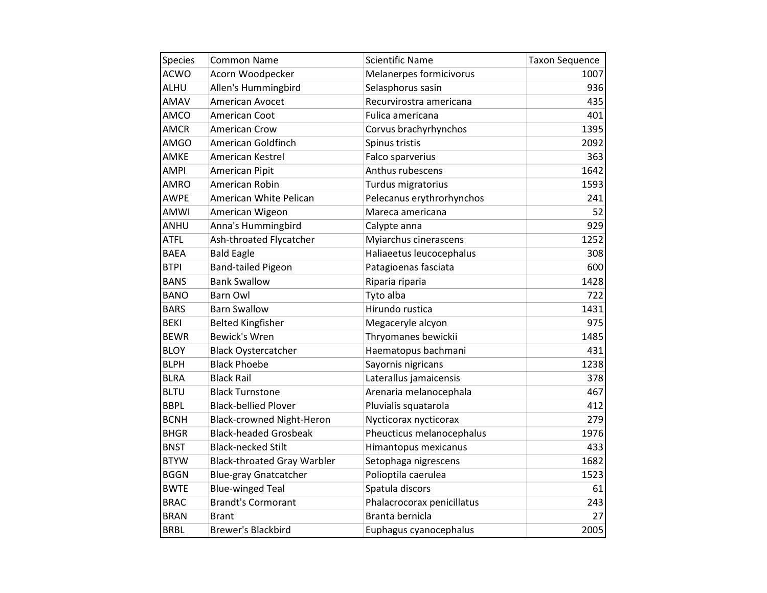| <b>Species</b> | <b>Common Name</b>                 | <b>Scientific Name</b>     | <b>Taxon Sequence</b> |
|----------------|------------------------------------|----------------------------|-----------------------|
| <b>ACWO</b>    | Acorn Woodpecker                   | Melanerpes formicivorus    | 1007                  |
| ALHU           | Allen's Hummingbird                | Selasphorus sasin          | 936                   |
| AMAV           | American Avocet                    | Recurvirostra americana    | 435                   |
| AMCO           | American Coot                      | Fulica americana           | 401                   |
| <b>AMCR</b>    | <b>American Crow</b>               | Corvus brachyrhynchos      | 1395                  |
| <b>AMGO</b>    | American Goldfinch                 | Spinus tristis             | 2092                  |
| AMKE           | American Kestrel                   | Falco sparverius           | 363                   |
| <b>AMPI</b>    | American Pipit                     | Anthus rubescens           | 1642                  |
| <b>AMRO</b>    | American Robin                     | Turdus migratorius         | 1593                  |
| <b>AWPE</b>    | American White Pelican             | Pelecanus erythrorhynchos  | 241                   |
| AMWI           | American Wigeon                    | Mareca americana           | 52                    |
| ANHU           | Anna's Hummingbird                 | Calypte anna               | 929                   |
| <b>ATFL</b>    | Ash-throated Flycatcher            | Myiarchus cinerascens      | 1252                  |
| <b>BAEA</b>    | <b>Bald Eagle</b>                  | Haliaeetus leucocephalus   | 308                   |
| <b>BTPI</b>    | <b>Band-tailed Pigeon</b>          | Patagioenas fasciata       | 600                   |
| <b>BANS</b>    | <b>Bank Swallow</b>                | Riparia riparia            | 1428                  |
| <b>BANO</b>    | <b>Barn Owl</b>                    | Tyto alba                  | 722                   |
| <b>BARS</b>    | <b>Barn Swallow</b>                | Hirundo rustica            | 1431                  |
| <b>BEKI</b>    | <b>Belted Kingfisher</b>           | Megaceryle alcyon          | 975                   |
| <b>BEWR</b>    | <b>Bewick's Wren</b>               | Thryomanes bewickii        | 1485                  |
| <b>BLOY</b>    | <b>Black Oystercatcher</b>         | Haematopus bachmani        | 431                   |
| <b>BLPH</b>    | <b>Black Phoebe</b>                | Sayornis nigricans         | 1238                  |
| <b>BLRA</b>    | <b>Black Rail</b>                  | Laterallus jamaicensis     | 378                   |
| <b>BLTU</b>    | <b>Black Turnstone</b>             | Arenaria melanocephala     | 467                   |
| <b>BBPL</b>    | <b>Black-bellied Plover</b>        | Pluvialis squatarola       | 412                   |
| <b>BCNH</b>    | <b>Black-crowned Night-Heron</b>   | Nycticorax nycticorax      | 279                   |
| <b>BHGR</b>    | <b>Black-headed Grosbeak</b>       | Pheucticus melanocephalus  | 1976                  |
| <b>BNST</b>    | <b>Black-necked Stilt</b>          | Himantopus mexicanus       | 433                   |
| <b>BTYW</b>    | <b>Black-throated Gray Warbler</b> | Setophaga nigrescens       | 1682                  |
| <b>BGGN</b>    | <b>Blue-gray Gnatcatcher</b>       | Polioptila caerulea        | 1523                  |
| <b>BWTE</b>    | <b>Blue-winged Teal</b>            | Spatula discors            | 61                    |
| <b>BRAC</b>    | <b>Brandt's Cormorant</b>          | Phalacrocorax penicillatus | 243                   |
| <b>BRAN</b>    | <b>Brant</b>                       | Branta bernicla            | 27                    |
| <b>BRBL</b>    | Brewer's Blackbird                 | Euphagus cyanocephalus     | 2005                  |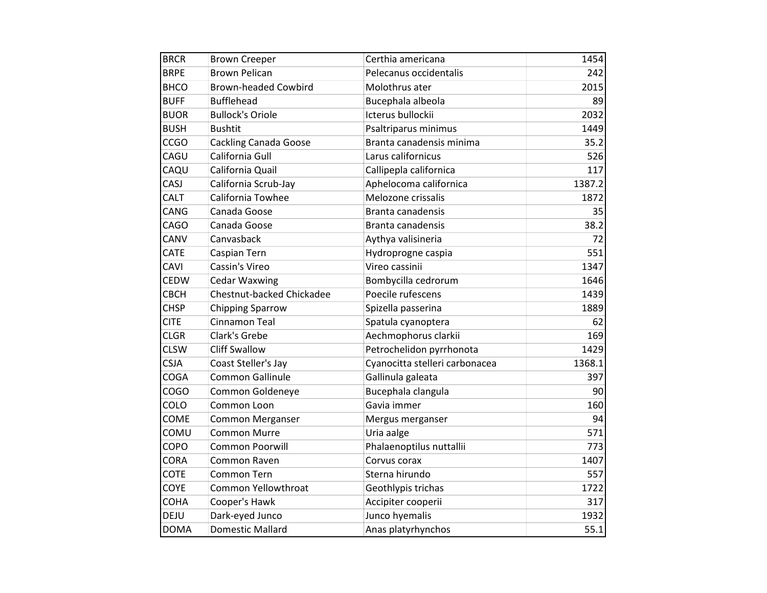| <b>BRCR</b> | <b>Brown Creeper</b>         | Certhia americana              | 1454   |
|-------------|------------------------------|--------------------------------|--------|
| <b>BRPE</b> | <b>Brown Pelican</b>         | Pelecanus occidentalis         | 242    |
| <b>BHCO</b> | <b>Brown-headed Cowbird</b>  | Molothrus ater                 | 2015   |
| <b>BUFF</b> | <b>Bufflehead</b>            | Bucephala albeola              | 89     |
| <b>BUOR</b> | <b>Bullock's Oriole</b>      | Icterus bullockii              | 2032   |
| <b>BUSH</b> | <b>Bushtit</b>               | Psaltriparus minimus           | 1449   |
| CCGO        | <b>Cackling Canada Goose</b> | Branta canadensis minima       | 35.2   |
| CAGU        | California Gull              | Larus californicus             | 526    |
| CAQU        | California Quail             | Callipepla californica         | 117    |
| CASJ        | California Scrub-Jay         | Aphelocoma californica         | 1387.2 |
| <b>CALT</b> | California Towhee            | Melozone crissalis             | 1872   |
| CANG        | Canada Goose                 | Branta canadensis              | 35     |
| <b>CAGO</b> | Canada Goose                 | Branta canadensis              | 38.2   |
| CANV        | Canvasback                   | Aythya valisineria             | 72     |
| <b>CATE</b> | Caspian Tern                 | Hydroprogne caspia             | 551    |
| CAVI        | Cassin's Vireo               | Vireo cassinii                 | 1347   |
| <b>CEDW</b> | <b>Cedar Waxwing</b>         | Bombycilla cedrorum            | 1646   |
| <b>CBCH</b> | Chestnut-backed Chickadee    | Poecile rufescens              | 1439   |
| <b>CHSP</b> | <b>Chipping Sparrow</b>      | Spizella passerina             | 1889   |
| <b>CITE</b> | Cinnamon Teal                | Spatula cyanoptera             | 62     |
| <b>CLGR</b> | Clark's Grebe                | Aechmophorus clarkii           | 169    |
| <b>CLSW</b> | <b>Cliff Swallow</b>         | Petrochelidon pyrrhonota       | 1429   |
| <b>CSJA</b> | Coast Steller's Jay          | Cyanocitta stelleri carbonacea | 1368.1 |
| <b>COGA</b> | Common Gallinule             | Gallinula galeata              | 397    |
| COGO        | Common Goldeneye             | Bucephala clangula             | 90     |
| COLO        | Common Loon                  | Gavia immer                    | 160    |
| <b>COME</b> | <b>Common Merganser</b>      | Mergus merganser               | 94     |
| COMU        | <b>Common Murre</b>          | Uria aalge                     | 571    |
| COPO        | <b>Common Poorwill</b>       | Phalaenoptilus nuttallii       | 773    |
| <b>CORA</b> | Common Raven                 | Corvus corax                   | 1407   |
| <b>COTE</b> | Common Tern                  | Sterna hirundo                 | 557    |
| COYE        | Common Yellowthroat          | Geothlypis trichas             | 1722   |
| <b>COHA</b> | Cooper's Hawk                | Accipiter cooperii             | 317    |
| DEJU        | Dark-eyed Junco              | Junco hyemalis                 | 1932   |
| <b>DOMA</b> | <b>Domestic Mallard</b>      | Anas platyrhynchos             | 55.1   |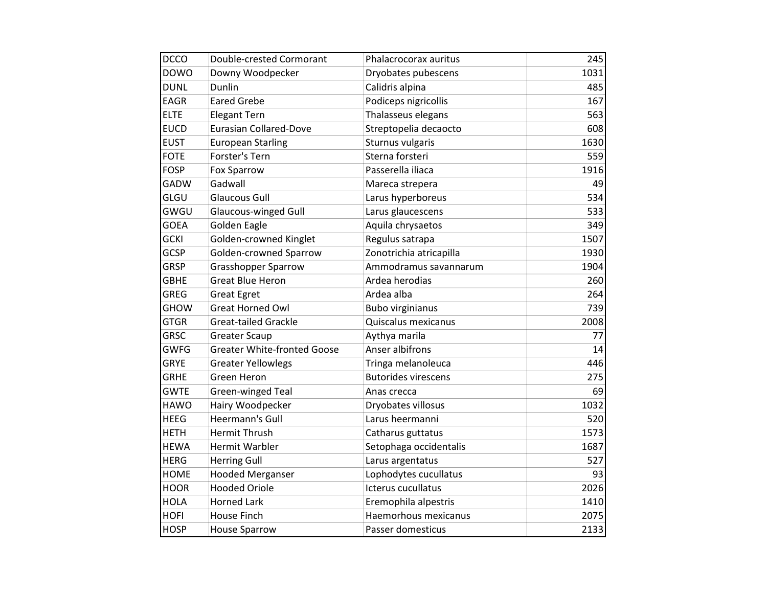| <b>DCCO</b> | Double-crested Cormorant           |                                        | 245  |
|-------------|------------------------------------|----------------------------------------|------|
| <b>DOWO</b> |                                    | Phalacrocorax auritus                  | 1031 |
| <b>DUNL</b> | Downy Woodpecker<br>Dunlin         | Dryobates pubescens<br>Calidris alpina | 485  |
| <b>EAGR</b> | <b>Eared Grebe</b>                 |                                        | 167  |
|             |                                    | Podiceps nigricollis                   |      |
| <b>ELTE</b> | <b>Elegant Tern</b>                | Thalasseus elegans                     | 563  |
| <b>EUCD</b> | <b>Eurasian Collared-Dove</b>      | Streptopelia decaocto                  | 608  |
| <b>EUST</b> | <b>European Starling</b>           | Sturnus vulgaris                       | 1630 |
| <b>FOTE</b> | Forster's Tern                     | Sterna forsteri                        | 559  |
| <b>FOSP</b> | Fox Sparrow                        | Passerella iliaca                      | 1916 |
| <b>GADW</b> | Gadwall                            | Mareca strepera                        | 49   |
| GLGU        | <b>Glaucous Gull</b>               | Larus hyperboreus                      | 534  |
| GWGU        | <b>Glaucous-winged Gull</b>        | Larus glaucescens                      | 533  |
| <b>GOEA</b> | <b>Golden Eagle</b>                | Aquila chrysaetos                      | 349  |
| <b>GCKI</b> | Golden-crowned Kinglet             | Regulus satrapa                        | 1507 |
| <b>GCSP</b> | Golden-crowned Sparrow             | Zonotrichia atricapilla                | 1930 |
| <b>GRSP</b> | <b>Grasshopper Sparrow</b>         | Ammodramus savannarum                  | 1904 |
| <b>GBHE</b> | <b>Great Blue Heron</b>            | Ardea herodias                         | 260  |
| <b>GREG</b> | <b>Great Egret</b>                 | Ardea alba                             | 264  |
| <b>GHOW</b> | <b>Great Horned Owl</b>            | <b>Bubo virginianus</b>                | 739  |
| <b>GTGR</b> | <b>Great-tailed Grackle</b>        | Quiscalus mexicanus                    | 2008 |
| <b>GRSC</b> | <b>Greater Scaup</b>               | Aythya marila                          | 77   |
| <b>GWFG</b> | <b>Greater White-fronted Goose</b> | Anser albifrons                        | 14   |
| <b>GRYE</b> | <b>Greater Yellowlegs</b>          | Tringa melanoleuca                     | 446  |
| <b>GRHE</b> | <b>Green Heron</b>                 | <b>Butorides virescens</b>             | 275  |
| <b>GWTE</b> | Green-winged Teal                  | Anas crecca                            | 69   |
| <b>HAWO</b> | Hairy Woodpecker                   | Dryobates villosus                     | 1032 |
| <b>HEEG</b> | Heermann's Gull                    | Larus heermanni                        | 520  |
| <b>HETH</b> | <b>Hermit Thrush</b>               | Catharus guttatus                      | 1573 |
| <b>HEWA</b> | <b>Hermit Warbler</b>              | Setophaga occidentalis                 | 1687 |
| <b>HERG</b> | <b>Herring Gull</b>                | Larus argentatus                       | 527  |
| <b>HOME</b> | <b>Hooded Merganser</b>            | Lophodytes cucullatus                  | 93   |
| <b>HOOR</b> | <b>Hooded Oriole</b>               | Icterus cucullatus                     | 2026 |
| <b>HOLA</b> | <b>Horned Lark</b>                 | Eremophila alpestris                   | 1410 |
| <b>HOFI</b> | <b>House Finch</b>                 | Haemorhous mexicanus                   | 2075 |
| <b>HOSP</b> | <b>House Sparrow</b>               | Passer domesticus                      | 2133 |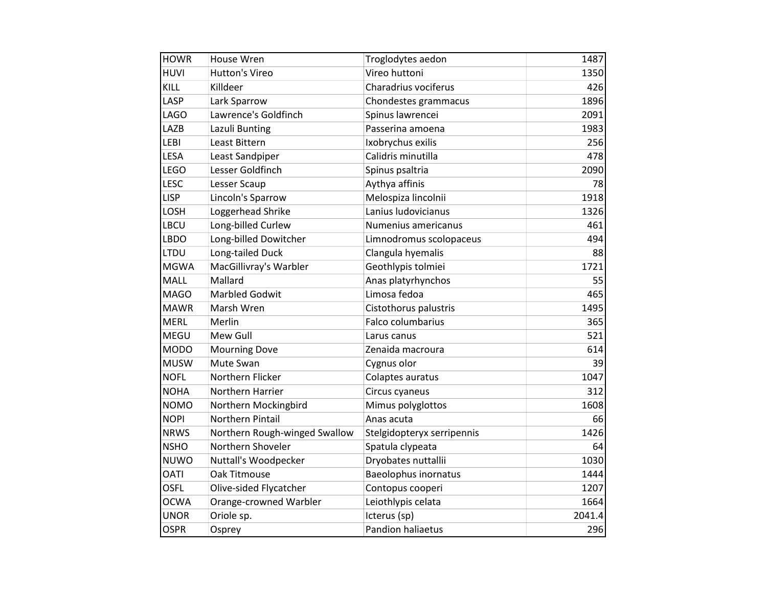| <b>HOWR</b> | House Wren                    | Troglodytes aedon           | 1487   |
|-------------|-------------------------------|-----------------------------|--------|
| HUVI        | <b>Hutton's Vireo</b>         | Vireo huttoni               | 1350   |
| KILL        | Killdeer                      | Charadrius vociferus        | 426    |
| LASP        | Lark Sparrow                  | Chondestes grammacus        | 1896   |
| <b>LAGO</b> | Lawrence's Goldfinch          | Spinus lawrencei            | 2091   |
| LAZB        | Lazuli Bunting                | Passerina amoena            | 1983   |
| LEBI        | Least Bittern                 | Ixobrychus exilis           | 256    |
| <b>LESA</b> | Least Sandpiper               | Calidris minutilla          | 478    |
| <b>LEGO</b> | Lesser Goldfinch              | Spinus psaltria             | 2090   |
| <b>LESC</b> | Lesser Scaup                  | Aythya affinis              | 78     |
| <b>LISP</b> | Lincoln's Sparrow             | Melospiza lincolnii         | 1918   |
| LOSH        | Loggerhead Shrike             | Lanius ludovicianus         | 1326   |
| LBCU        | Long-billed Curlew            | Numenius americanus         | 461    |
| LBDO        | Long-billed Dowitcher         | Limnodromus scolopaceus     | 494    |
| LTDU        | Long-tailed Duck              | Clangula hyemalis           | 88     |
| <b>MGWA</b> | MacGillivray's Warbler        | Geothlypis tolmiei          | 1721   |
| <b>MALL</b> | Mallard                       | Anas platyrhynchos          | 55     |
| <b>MAGO</b> | <b>Marbled Godwit</b>         | Limosa fedoa                | 465    |
| <b>MAWR</b> | Marsh Wren                    | Cistothorus palustris       | 1495   |
| <b>MERL</b> | Merlin                        | Falco columbarius           | 365    |
| MEGU        | Mew Gull                      | Larus canus                 | 521    |
| <b>MODO</b> | <b>Mourning Dove</b>          | Zenaida macroura            | 614    |
| <b>MUSW</b> | Mute Swan                     | Cygnus olor                 | 39     |
| <b>NOFL</b> | Northern Flicker              | Colaptes auratus            | 1047   |
| <b>NOHA</b> | Northern Harrier              | Circus cyaneus              | 312    |
| <b>NOMO</b> | Northern Mockingbird          | Mimus polyglottos           | 1608   |
| <b>NOPI</b> | Northern Pintail              | Anas acuta                  | 66     |
| <b>NRWS</b> | Northern Rough-winged Swallow | Stelgidopteryx serripennis  | 1426   |
| <b>NSHO</b> | Northern Shoveler             | Spatula clypeata            | 64     |
| <b>NUWO</b> | Nuttall's Woodpecker          | Dryobates nuttallii         | 1030   |
| <b>OATI</b> | Oak Titmouse                  | <b>Baeolophus inornatus</b> | 1444   |
| <b>OSFL</b> | Olive-sided Flycatcher        | Contopus cooperi            | 1207   |
| <b>OCWA</b> | Orange-crowned Warbler        | Leiothlypis celata          | 1664   |
| <b>UNOR</b> | Oriole sp.                    | Icterus (sp)                | 2041.4 |
| <b>OSPR</b> | Osprey                        | Pandion haliaetus           | 296    |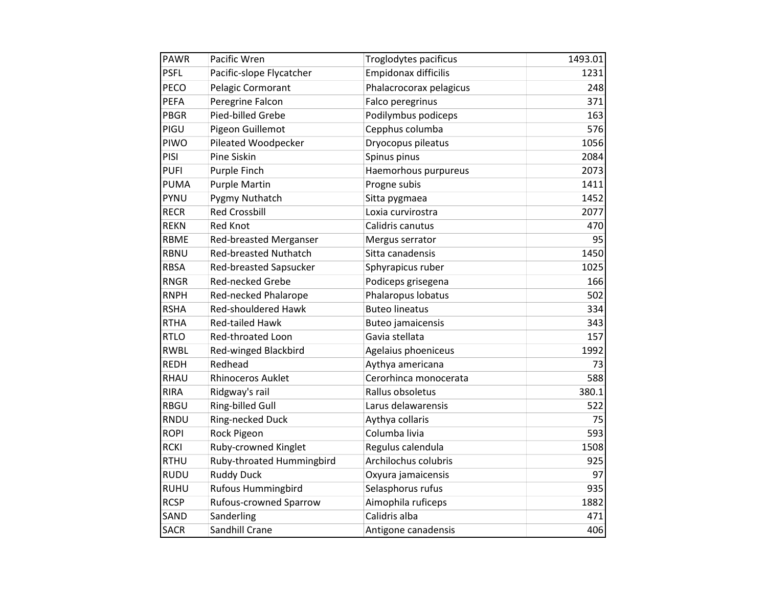| <b>PAWR</b> | Pacific Wren                  | Troglodytes pacificus   | 1493.01 |
|-------------|-------------------------------|-------------------------|---------|
| <b>PSFL</b> | Pacific-slope Flycatcher      | Empidonax difficilis    | 1231    |
| PECO        | Pelagic Cormorant             | Phalacrocorax pelagicus | 248     |
| <b>PEFA</b> | Peregrine Falcon              | Falco peregrinus        | 371     |
| <b>PBGR</b> | Pied-billed Grebe             | Podilymbus podiceps     | 163     |
| PIGU        | Pigeon Guillemot              | Cepphus columba         | 576     |
| PIWO        | Pileated Woodpecker           | Dryocopus pileatus      | 1056    |
| PISI        | <b>Pine Siskin</b>            | Spinus pinus            | 2084    |
| <b>PUFI</b> | Purple Finch                  | Haemorhous purpureus    | 2073    |
| <b>PUMA</b> | <b>Purple Martin</b>          | Progne subis            | 1411    |
| <b>PYNU</b> | Pygmy Nuthatch                | Sitta pygmaea           | 1452    |
| <b>RECR</b> | <b>Red Crossbill</b>          | Loxia curvirostra       | 2077    |
| <b>REKN</b> | <b>Red Knot</b>               | Calidris canutus        | 470     |
| <b>RBME</b> | Red-breasted Merganser        | Mergus serrator         | 95      |
| <b>RBNU</b> | <b>Red-breasted Nuthatch</b>  | Sitta canadensis        | 1450    |
| <b>RBSA</b> | <b>Red-breasted Sapsucker</b> | Sphyrapicus ruber       | 1025    |
| <b>RNGR</b> | <b>Red-necked Grebe</b>       | Podiceps grisegena      | 166     |
| <b>RNPH</b> | Red-necked Phalarope          | Phalaropus lobatus      | 502     |
| <b>RSHA</b> | <b>Red-shouldered Hawk</b>    | <b>Buteo lineatus</b>   | 334     |
| <b>RTHA</b> | <b>Red-tailed Hawk</b>        | Buteo jamaicensis       | 343     |
| <b>RTLO</b> | Red-throated Loon             | Gavia stellata          | 157     |
| <b>RWBL</b> | Red-winged Blackbird          | Agelaius phoeniceus     | 1992    |
| <b>REDH</b> | Redhead                       | Aythya americana        | 73      |
| <b>RHAU</b> | <b>Rhinoceros Auklet</b>      | Cerorhinca monocerata   | 588     |
| <b>RIRA</b> | Ridgway's rail                | Rallus obsoletus        | 380.1   |
| <b>RBGU</b> | Ring-billed Gull              | Larus delawarensis      | 522     |
| <b>RNDU</b> | Ring-necked Duck              | Aythya collaris         | 75      |
| <b>ROPI</b> | Rock Pigeon                   | Columba livia           | 593     |
| <b>RCKI</b> | Ruby-crowned Kinglet          | Regulus calendula       | 1508    |
| <b>RTHU</b> | Ruby-throated Hummingbird     | Archilochus colubris    | 925     |
| <b>RUDU</b> | <b>Ruddy Duck</b>             | Oxyura jamaicensis      | 97      |
| <b>RUHU</b> | <b>Rufous Hummingbird</b>     | Selasphorus rufus       | 935     |
| <b>RCSP</b> | Rufous-crowned Sparrow        | Aimophila ruficeps      | 1882    |
| SAND        | Sanderling                    | Calidris alba           | 471     |
| <b>SACR</b> | Sandhill Crane                | Antigone canadensis     | 406     |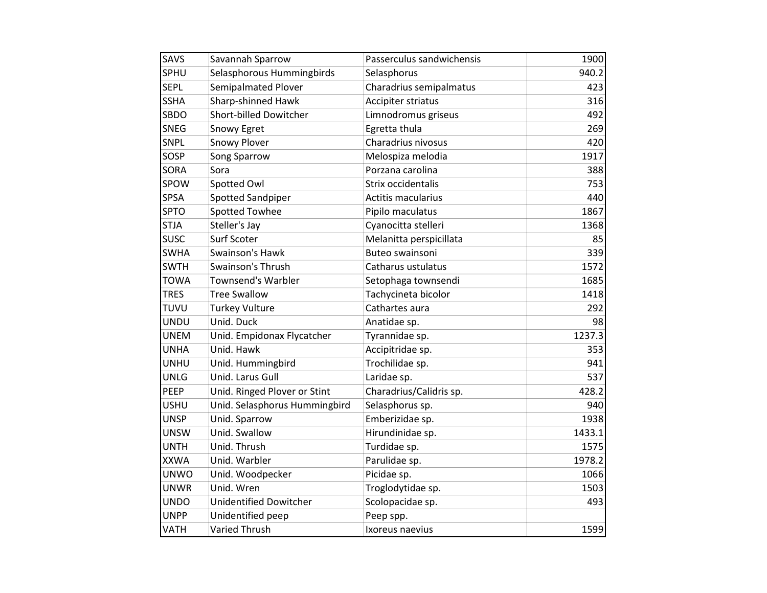| SAVS        | Savannah Sparrow              | Passerculus sandwichensis | 1900   |
|-------------|-------------------------------|---------------------------|--------|
| SPHU        | Selasphorous Hummingbirds     | Selasphorus               | 940.2  |
| <b>SEPL</b> | Semipalmated Plover           | Charadrius semipalmatus   | 423    |
| <b>SSHA</b> | Sharp-shinned Hawk            | Accipiter striatus        | 316    |
| SBDO        | Short-billed Dowitcher        | Limnodromus griseus       | 492    |
| <b>SNEG</b> | Snowy Egret                   | Egretta thula             | 269    |
| SNPL        | Snowy Plover                  | Charadrius nivosus        | 420    |
| SOSP        | Song Sparrow                  | Melospiza melodia         | 1917   |
| <b>SORA</b> | Sora                          | Porzana carolina          | 388    |
| SPOW        | Spotted Owl                   | Strix occidentalis        | 753    |
| <b>SPSA</b> | <b>Spotted Sandpiper</b>      | <b>Actitis macularius</b> | 440    |
| <b>SPTO</b> | <b>Spotted Towhee</b>         | Pipilo maculatus          | 1867   |
| <b>STJA</b> | Steller's Jay                 | Cyanocitta stelleri       | 1368   |
| <b>SUSC</b> | Surf Scoter                   | Melanitta perspicillata   | 85     |
| <b>SWHA</b> | Swainson's Hawk               | Buteo swainsoni           | 339    |
| <b>SWTH</b> | Swainson's Thrush             | Catharus ustulatus        | 1572   |
| <b>TOWA</b> | <b>Townsend's Warbler</b>     | Setophaga townsendi       | 1685   |
| <b>TRES</b> | <b>Tree Swallow</b>           | Tachycineta bicolor       | 1418   |
| TUVU        | <b>Turkey Vulture</b>         | Cathartes aura            | 292    |
| <b>UNDU</b> | Unid. Duck                    | Anatidae sp.              | 98     |
| <b>UNEM</b> | Unid. Empidonax Flycatcher    | Tyrannidae sp.            | 1237.3 |
| <b>UNHA</b> | Unid. Hawk                    | Accipitridae sp.          | 353    |
| <b>UNHU</b> | Unid. Hummingbird             | Trochilidae sp.           | 941    |
| <b>UNLG</b> | Unid. Larus Gull              | Laridae sp.               | 537    |
| PEEP        | Unid. Ringed Plover or Stint  | Charadrius/Calidris sp.   | 428.2  |
| <b>USHU</b> | Unid. Selasphorus Hummingbird | Selasphorus sp.           | 940    |
| <b>UNSP</b> | Unid. Sparrow                 | Emberizidae sp.           | 1938   |
| <b>UNSW</b> | Unid. Swallow                 | Hirundinidae sp.          | 1433.1 |
| <b>UNTH</b> | Unid. Thrush                  | Turdidae sp.              | 1575   |
| <b>XXWA</b> | Unid. Warbler                 | Parulidae sp.             | 1978.2 |
| <b>UNWO</b> | Unid. Woodpecker              | Picidae sp.               | 1066   |
| <b>UNWR</b> | Unid. Wren                    | Troglodytidae sp.         | 1503   |
| <b>UNDO</b> | <b>Unidentified Dowitcher</b> | Scolopacidae sp.          | 493    |
| <b>UNPP</b> | Unidentified peep             | Peep spp.                 |        |
| VATH        | <b>Varied Thrush</b>          | Ixoreus naevius           | 1599   |